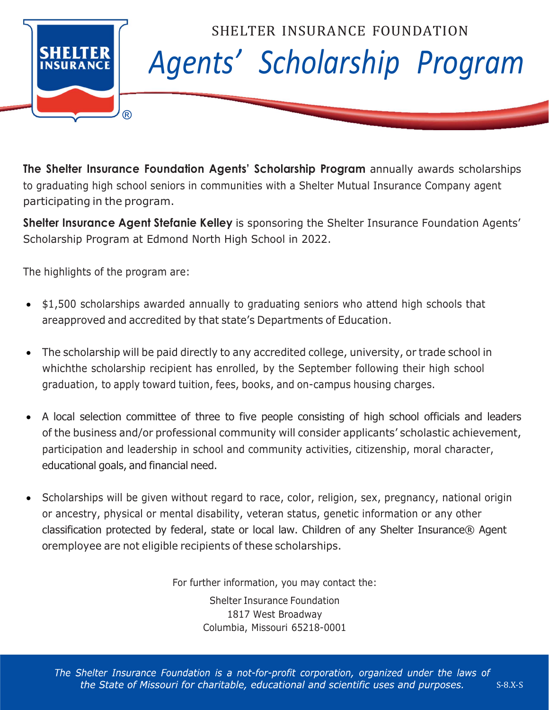

**The Shelter Insurance Foundation Agents' Scholarship Program** annually awards scholarships to graduating high school seniors in communities with a Shelter Mutual Insurance Company agent participating in the program.

**Shelter Insurance Agent Stefanie Kelley** is sponsoring the Shelter Insurance Foundation Agents' Scholarship Program at Edmond North High School in 2022.

The highlights of the program are:

- \$1,500 scholarships awarded annually to graduating seniors who attend high schools that are approved and accredited by that state's Departments of Education.
- The scholarship will be paid directly to any accredited college, university, or trade school in which the scholarship recipient has enrolled, by the September following their high school graduation, to apply toward tuition, fees, books, and on-campus housing charges.
- x A local selection committee of three to five people consisting of high school officials and leaders of the business and/or professional community will consider applicants' scholastic achievement, participation and leadership in school and community activities, citizenship, moral character, educational goals, and financial need.
- Scholarships will be given without regard to race, color, religion, sex, pregnancy, national origin or ancestry, physical or mental disability, veteran status, genetic information or any other classification protected by federal, state or local law. Children of any Shelter Insurance® Agent or employee are not eligible recipients of these scholarships.

For further information, you may contact the:

Shelter Insurance Foundation 1817 West Broadway Columbia, Missouri 65218-0001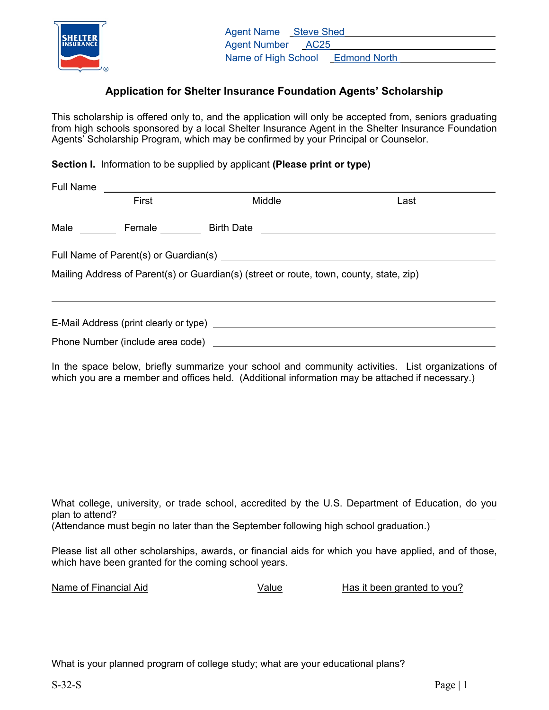

## **Application for Shelter Insurance Foundation Agents' Scholarship**

This scholarship is offered only to, and the application will only be accepted from, seniors graduating from high schools sponsored by a local Shelter Insurance Agent in the Shelter Insurance Foundation Agents' Scholarship Program, which may be confirmed by your Principal or Counselor.

**Section I.** Information to be supplied by applicant **(Please print or type)**

| <b>Full Name</b> |                                                                                         |        |  |      |
|------------------|-----------------------------------------------------------------------------------------|--------|--|------|
|                  | First                                                                                   | Middle |  | Last |
|                  |                                                                                         |        |  |      |
|                  |                                                                                         |        |  |      |
|                  | Mailing Address of Parent(s) or Guardian(s) (street or route, town, county, state, zip) |        |  |      |
|                  |                                                                                         |        |  |      |
|                  |                                                                                         |        |  |      |

In the space below, briefly summarize your school and community activities. List organizations of which you are a member and offices held. (Additional information may be attached if necessary.)

What college, university, or trade school, accredited by the U.S. Department of Education, do you plan to attend?

(Attendance must begin no later than the September following high school graduation.)

Please list all other scholarships, awards, or financial aids for which you have applied, and of those, which have been granted for the coming school years.

Name of Financial Aid **National State Community** Value Has it been granted to you?

What is your planned program of college study; what are your educational plans?